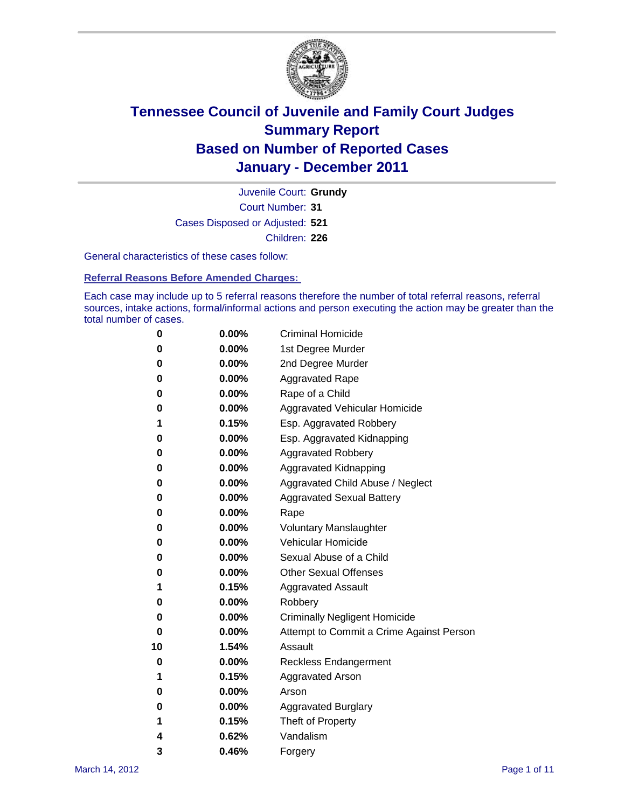

Court Number: **31** Juvenile Court: **Grundy** Cases Disposed or Adjusted: **521** Children: **226**

General characteristics of these cases follow:

**Referral Reasons Before Amended Charges:** 

Each case may include up to 5 referral reasons therefore the number of total referral reasons, referral sources, intake actions, formal/informal actions and person executing the action may be greater than the total number of cases.

| 0  | 0.00%    | <b>Criminal Homicide</b>                 |
|----|----------|------------------------------------------|
| 0  | 0.00%    | 1st Degree Murder                        |
| 0  | 0.00%    | 2nd Degree Murder                        |
| 0  | 0.00%    | <b>Aggravated Rape</b>                   |
| 0  | 0.00%    | Rape of a Child                          |
| 0  | 0.00%    | Aggravated Vehicular Homicide            |
| 1  | 0.15%    | Esp. Aggravated Robbery                  |
| 0  | 0.00%    | Esp. Aggravated Kidnapping               |
| 0  | 0.00%    | <b>Aggravated Robbery</b>                |
| 0  | 0.00%    | Aggravated Kidnapping                    |
| 0  | 0.00%    | Aggravated Child Abuse / Neglect         |
| 0  | $0.00\%$ | <b>Aggravated Sexual Battery</b>         |
| 0  | 0.00%    | Rape                                     |
| 0  | 0.00%    | <b>Voluntary Manslaughter</b>            |
| 0  | 0.00%    | Vehicular Homicide                       |
| 0  | 0.00%    | Sexual Abuse of a Child                  |
| 0  | 0.00%    | <b>Other Sexual Offenses</b>             |
| 1  | 0.15%    | <b>Aggravated Assault</b>                |
| 0  | $0.00\%$ | Robbery                                  |
| 0  | 0.00%    | <b>Criminally Negligent Homicide</b>     |
| 0  | 0.00%    | Attempt to Commit a Crime Against Person |
| 10 | 1.54%    | Assault                                  |
| 0  | 0.00%    | <b>Reckless Endangerment</b>             |
| 1  | 0.15%    | <b>Aggravated Arson</b>                  |
| 0  | 0.00%    | Arson                                    |
| 0  | 0.00%    | <b>Aggravated Burglary</b>               |
| 1  | 0.15%    | Theft of Property                        |
| 4  | 0.62%    | Vandalism                                |
| 3  | 0.46%    | Forgery                                  |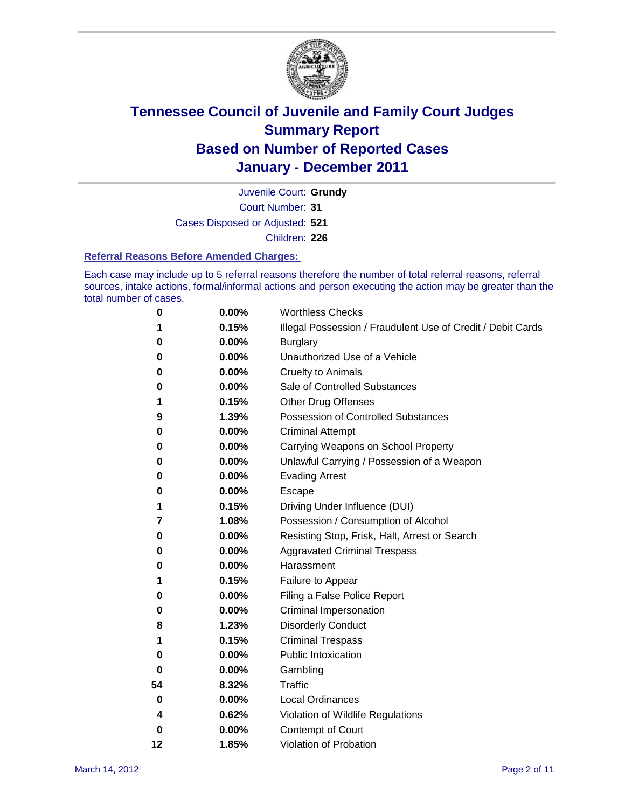

Juvenile Court: **Grundy**

Court Number: **31**

Cases Disposed or Adjusted: **521**

Children: **226**

#### **Referral Reasons Before Amended Charges:**

Each case may include up to 5 referral reasons therefore the number of total referral reasons, referral sources, intake actions, formal/informal actions and person executing the action may be greater than the total number of cases.

| 0  | 0.00% | <b>Worthless Checks</b>                                     |
|----|-------|-------------------------------------------------------------|
| 1  | 0.15% | Illegal Possession / Fraudulent Use of Credit / Debit Cards |
| 0  | 0.00% | <b>Burglary</b>                                             |
| 0  | 0.00% | Unauthorized Use of a Vehicle                               |
| 0  | 0.00% | <b>Cruelty to Animals</b>                                   |
| 0  | 0.00% | Sale of Controlled Substances                               |
| 1  | 0.15% | <b>Other Drug Offenses</b>                                  |
| 9  | 1.39% | <b>Possession of Controlled Substances</b>                  |
| 0  | 0.00% | <b>Criminal Attempt</b>                                     |
| 0  | 0.00% | Carrying Weapons on School Property                         |
| 0  | 0.00% | Unlawful Carrying / Possession of a Weapon                  |
| 0  | 0.00% | <b>Evading Arrest</b>                                       |
| 0  | 0.00% | Escape                                                      |
| 1  | 0.15% | Driving Under Influence (DUI)                               |
| 7  | 1.08% | Possession / Consumption of Alcohol                         |
| 0  | 0.00% | Resisting Stop, Frisk, Halt, Arrest or Search               |
| 0  | 0.00% | <b>Aggravated Criminal Trespass</b>                         |
| 0  | 0.00% | Harassment                                                  |
| 1  | 0.15% | Failure to Appear                                           |
| 0  | 0.00% | Filing a False Police Report                                |
| 0  | 0.00% | Criminal Impersonation                                      |
| 8  | 1.23% | <b>Disorderly Conduct</b>                                   |
| 1  | 0.15% | <b>Criminal Trespass</b>                                    |
| 0  | 0.00% | <b>Public Intoxication</b>                                  |
| 0  | 0.00% | Gambling                                                    |
| 54 | 8.32% | <b>Traffic</b>                                              |
| 0  | 0.00% | <b>Local Ordinances</b>                                     |
| 4  | 0.62% | Violation of Wildlife Regulations                           |
| 0  | 0.00% | Contempt of Court                                           |
| 12 | 1.85% | Violation of Probation                                      |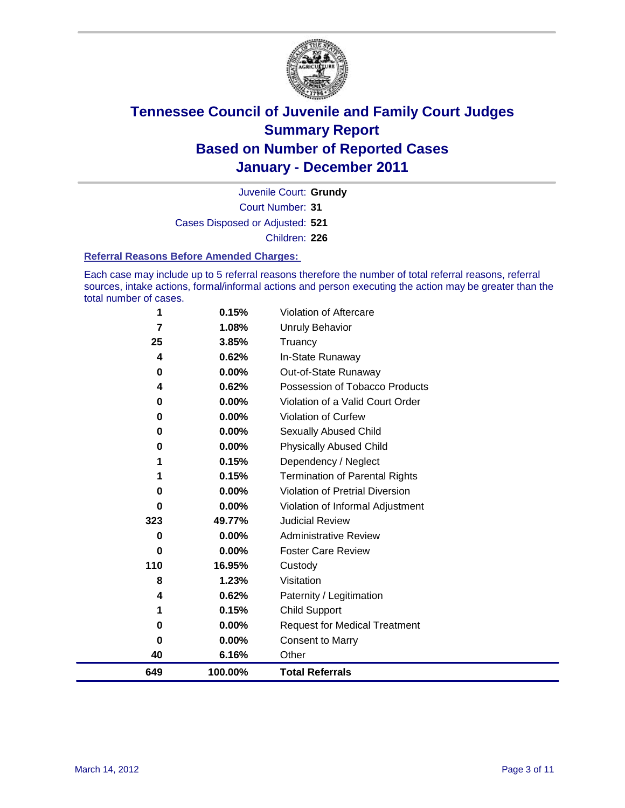

Court Number: **31** Juvenile Court: **Grundy** Cases Disposed or Adjusted: **521** Children: **226**

#### **Referral Reasons Before Amended Charges:**

Each case may include up to 5 referral reasons therefore the number of total referral reasons, referral sources, intake actions, formal/informal actions and person executing the action may be greater than the total number of cases.

| 649      | 100.00%  | <b>Total Referrals</b>                 |
|----------|----------|----------------------------------------|
| 40       | 6.16%    | Other                                  |
| $\bf{0}$ | 0.00%    | <b>Consent to Marry</b>                |
| 0        | 0.00%    | <b>Request for Medical Treatment</b>   |
| 1        | 0.15%    | <b>Child Support</b>                   |
| 4        | 0.62%    | Paternity / Legitimation               |
| 8        | 1.23%    | Visitation                             |
| 110      | 16.95%   | Custody                                |
| 0        | 0.00%    | <b>Foster Care Review</b>              |
| 0        | $0.00\%$ | <b>Administrative Review</b>           |
| 323      | 49.77%   | <b>Judicial Review</b>                 |
| 0        | 0.00%    | Violation of Informal Adjustment       |
| 0        | 0.00%    | <b>Violation of Pretrial Diversion</b> |
|          | 0.15%    | <b>Termination of Parental Rights</b>  |
|          | 0.15%    | Dependency / Neglect                   |
| 0        | 0.00%    | <b>Physically Abused Child</b>         |
| 0        | 0.00%    | <b>Sexually Abused Child</b>           |
| 0        | 0.00%    | Violation of Curfew                    |
| $\bf{0}$ | $0.00\%$ | Violation of a Valid Court Order       |
| 4        | 0.62%    | Possession of Tobacco Products         |
| 0        | 0.00%    | Out-of-State Runaway                   |
| 4        | 0.62%    | In-State Runaway                       |
| 25       | 3.85%    | Truancy                                |
| 7        | 1.08%    | Unruly Behavior                        |
| 1        | 0.15%    | Violation of Aftercare                 |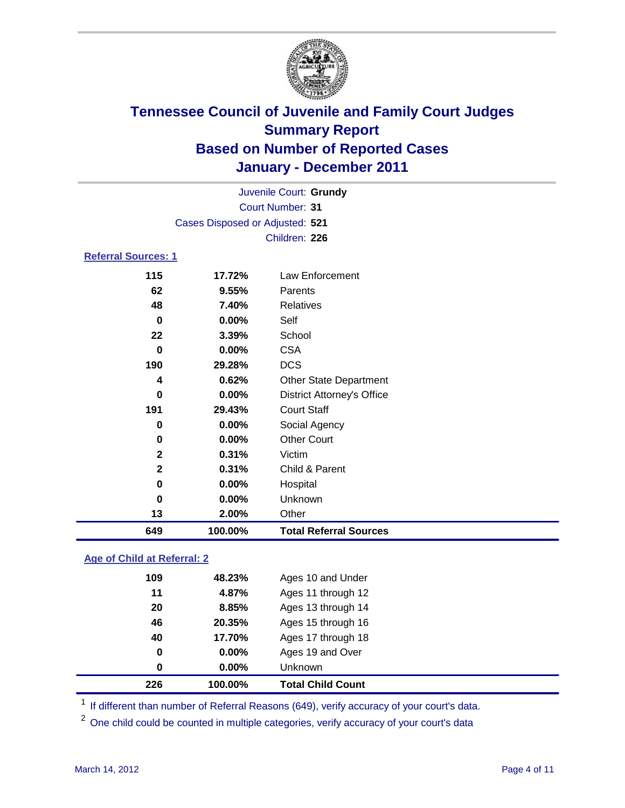

|                            | Juvenile Court: Grundy          |                                   |  |  |
|----------------------------|---------------------------------|-----------------------------------|--|--|
|                            | <b>Court Number: 31</b>         |                                   |  |  |
|                            | Cases Disposed or Adjusted: 521 |                                   |  |  |
|                            |                                 | Children: 226                     |  |  |
| <b>Referral Sources: 1</b> |                                 |                                   |  |  |
| 115                        | 17.72%                          | Law Enforcement                   |  |  |
| 62                         | 9.55%                           | Parents                           |  |  |
| 48                         | 7.40%                           | <b>Relatives</b>                  |  |  |
| $\bf{0}$                   | 0.00%                           | Self                              |  |  |
| 22                         | 3.39%                           | School                            |  |  |
| $\bf{0}$                   | 0.00%                           | <b>CSA</b>                        |  |  |
| 190                        | 29.28%                          | <b>DCS</b>                        |  |  |
| 4                          | 0.62%                           | <b>Other State Department</b>     |  |  |
| 0                          | 0.00%                           | <b>District Attorney's Office</b> |  |  |
| 191                        | 29.43%                          | <b>Court Staff</b>                |  |  |
| 0                          | 0.00%                           | Social Agency                     |  |  |
| $\bf{0}$                   | 0.00%                           | <b>Other Court</b>                |  |  |
| $\mathbf{2}$               | 0.31%                           | Victim                            |  |  |
| $\mathbf{2}$               | 0.31%                           | Child & Parent                    |  |  |
| 0                          | 0.00%                           | Hospital                          |  |  |
| 0                          | 0.00%                           | Unknown                           |  |  |
| 13                         | 2.00%                           | Other                             |  |  |
| 649                        | 100.00%                         | <b>Total Referral Sources</b>     |  |  |

### **Age of Child at Referral: 2**

|     | 100.00%  | <b>Total Child Count</b> |
|-----|----------|--------------------------|
| 0   | $0.00\%$ | Unknown                  |
| 0   | 0.00%    | Ages 19 and Over         |
| 40  | 17.70%   | Ages 17 through 18       |
| 46  | 20.35%   | Ages 15 through 16       |
| 20  | 8.85%    | Ages 13 through 14       |
| 11  | 4.87%    | Ages 11 through 12       |
| 109 | 48.23%   | Ages 10 and Under        |
|     | 226      |                          |

<sup>1</sup> If different than number of Referral Reasons (649), verify accuracy of your court's data.

<sup>2</sup> One child could be counted in multiple categories, verify accuracy of your court's data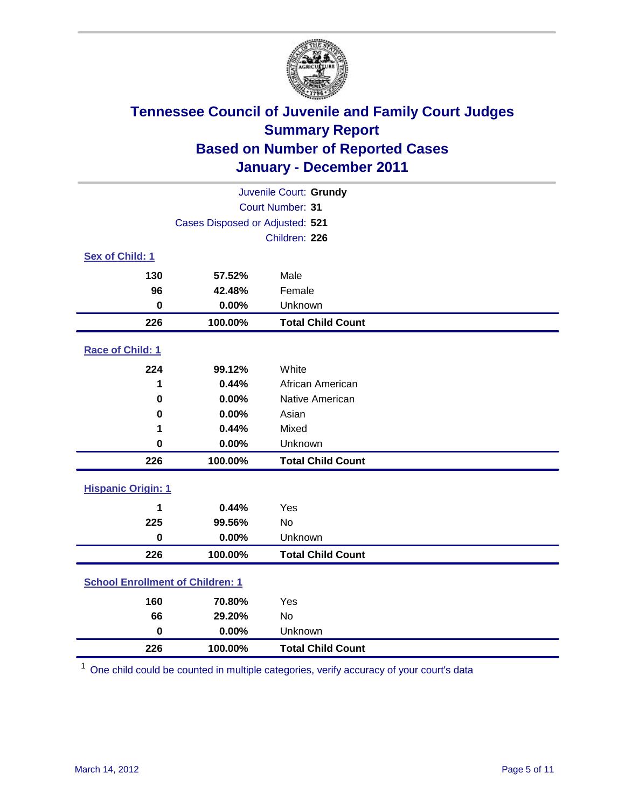

| Juvenile Court: Grundy                  |                                 |                          |  |  |  |
|-----------------------------------------|---------------------------------|--------------------------|--|--|--|
|                                         | Court Number: 31                |                          |  |  |  |
|                                         | Cases Disposed or Adjusted: 521 |                          |  |  |  |
|                                         |                                 | Children: 226            |  |  |  |
| Sex of Child: 1                         |                                 |                          |  |  |  |
| 130                                     | 57.52%                          | Male                     |  |  |  |
| 96                                      | 42.48%                          | Female                   |  |  |  |
| $\mathbf 0$                             | 0.00%                           | Unknown                  |  |  |  |
| 226                                     | 100.00%                         | <b>Total Child Count</b> |  |  |  |
| Race of Child: 1                        |                                 |                          |  |  |  |
| 224                                     | 99.12%                          | White                    |  |  |  |
| 1                                       | 0.44%                           | African American         |  |  |  |
| $\mathbf 0$                             | 0.00%                           | Native American          |  |  |  |
| 0                                       | 0.00%                           | Asian                    |  |  |  |
| 1                                       | 0.44%                           | Mixed                    |  |  |  |
| $\mathbf 0$                             | 0.00%                           | Unknown                  |  |  |  |
| 226                                     | 100.00%                         | <b>Total Child Count</b> |  |  |  |
| <b>Hispanic Origin: 1</b>               |                                 |                          |  |  |  |
| 1                                       | 0.44%                           | Yes                      |  |  |  |
| 225                                     | 99.56%                          | No                       |  |  |  |
| $\mathbf 0$                             | 0.00%                           | Unknown                  |  |  |  |
| 226                                     | 100.00%                         | <b>Total Child Count</b> |  |  |  |
| <b>School Enrollment of Children: 1</b> |                                 |                          |  |  |  |
| 160                                     | 70.80%                          | Yes                      |  |  |  |
| 66                                      | 29.20%                          | No                       |  |  |  |
| $\mathbf 0$                             | 0.00%                           | Unknown                  |  |  |  |
| 226                                     | 100.00%                         | <b>Total Child Count</b> |  |  |  |

One child could be counted in multiple categories, verify accuracy of your court's data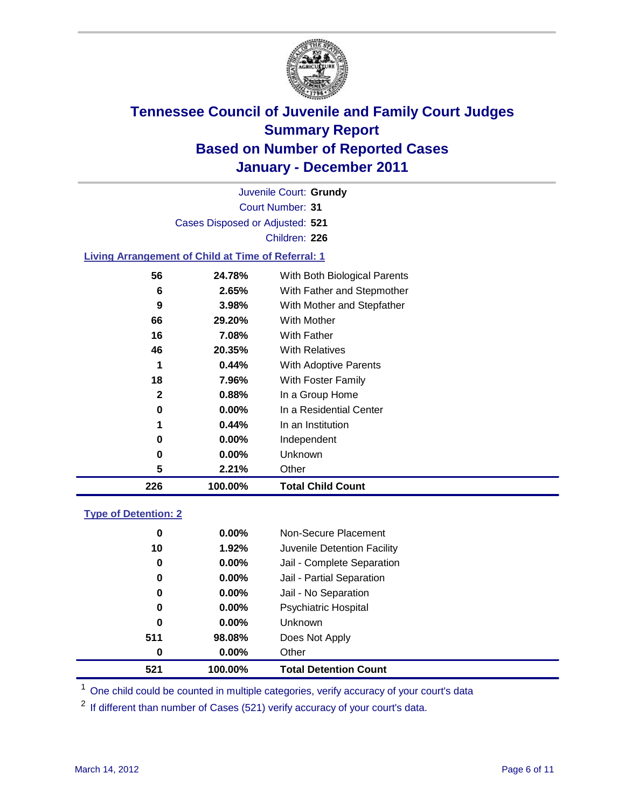

Court Number: **31** Juvenile Court: **Grundy** Cases Disposed or Adjusted: **521** Children: **226**

#### **Living Arrangement of Child at Time of Referral: 1**

| 226 | 100.00%  | <b>Total Child Count</b>     |
|-----|----------|------------------------------|
| 5   | 2.21%    | Other                        |
| 0   | $0.00\%$ | Unknown                      |
| 0   | $0.00\%$ | Independent                  |
| 1   | 0.44%    | In an Institution            |
| 0   | $0.00\%$ | In a Residential Center      |
| 2   | 0.88%    | In a Group Home              |
| 18  | 7.96%    | With Foster Family           |
| 1   | 0.44%    | With Adoptive Parents        |
| 46  | 20.35%   | <b>With Relatives</b>        |
| 16  | 7.08%    | With Father                  |
| 66  | 29.20%   | With Mother                  |
| 9   | 3.98%    | With Mother and Stepfather   |
| 6   | 2.65%    | With Father and Stepmother   |
| 56  | 24.78%   | With Both Biological Parents |

#### **Type of Detention: 2**

| 521 | 100.00%  | <b>Total Detention Count</b> |  |
|-----|----------|------------------------------|--|
| 0   | 0.00%    | Other                        |  |
| 511 | 98.08%   | Does Not Apply               |  |
| 0   | $0.00\%$ | Unknown                      |  |
| 0   | $0.00\%$ | Psychiatric Hospital         |  |
| 0   | 0.00%    | Jail - No Separation         |  |
| 0   | $0.00\%$ | Jail - Partial Separation    |  |
| 0   | 0.00%    | Jail - Complete Separation   |  |
| 10  | 1.92%    | Juvenile Detention Facility  |  |
| 0   | $0.00\%$ | Non-Secure Placement         |  |
|     |          |                              |  |

<sup>1</sup> One child could be counted in multiple categories, verify accuracy of your court's data

<sup>2</sup> If different than number of Cases (521) verify accuracy of your court's data.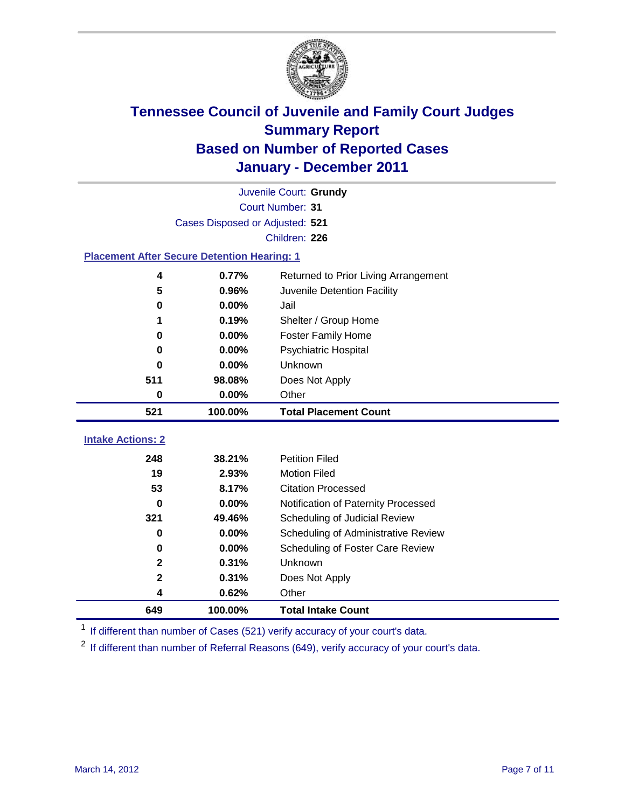

|                                                    | Juvenile Court: Grundy          |                                      |  |  |  |
|----------------------------------------------------|---------------------------------|--------------------------------------|--|--|--|
|                                                    | Court Number: 31                |                                      |  |  |  |
|                                                    | Cases Disposed or Adjusted: 521 |                                      |  |  |  |
|                                                    |                                 | Children: 226                        |  |  |  |
| <b>Placement After Secure Detention Hearing: 1</b> |                                 |                                      |  |  |  |
| 4                                                  | 0.77%                           | Returned to Prior Living Arrangement |  |  |  |
| 5                                                  | 0.96%                           | Juvenile Detention Facility          |  |  |  |
| 0                                                  | 0.00%                           | Jail                                 |  |  |  |
| 1                                                  | 0.19%                           | Shelter / Group Home                 |  |  |  |
| 0                                                  | 0.00%                           | <b>Foster Family Home</b>            |  |  |  |
| 0                                                  | 0.00%                           | Psychiatric Hospital                 |  |  |  |
| 0                                                  | 0.00%                           | Unknown                              |  |  |  |
| 511                                                | 98.08%                          | Does Not Apply                       |  |  |  |
| 0                                                  | 0.00%                           | Other                                |  |  |  |
| 521                                                | 100.00%                         | <b>Total Placement Count</b>         |  |  |  |
|                                                    |                                 |                                      |  |  |  |
| <b>Intake Actions: 2</b>                           |                                 |                                      |  |  |  |
| 248                                                | 38.21%                          | <b>Petition Filed</b>                |  |  |  |
| 19                                                 | 2.93%                           | <b>Motion Filed</b>                  |  |  |  |
| 53                                                 | 8.17%                           | <b>Citation Processed</b>            |  |  |  |
| 0                                                  | 0.00%                           | Notification of Paternity Processed  |  |  |  |
| 321                                                | 49.46%                          | Scheduling of Judicial Review        |  |  |  |
| 0                                                  | 0.00%                           | Scheduling of Administrative Review  |  |  |  |
| 0                                                  | 0.00%                           | Scheduling of Foster Care Review     |  |  |  |
| $\mathbf 2$                                        | 0.31%                           | Unknown                              |  |  |  |
| $\mathbf{2}$                                       | 0.31%                           | Does Not Apply                       |  |  |  |
| 4                                                  | 0.62%                           | Other                                |  |  |  |
| 649                                                | 100.00%                         | <b>Total Intake Count</b>            |  |  |  |

<sup>1</sup> If different than number of Cases (521) verify accuracy of your court's data.

<sup>2</sup> If different than number of Referral Reasons (649), verify accuracy of your court's data.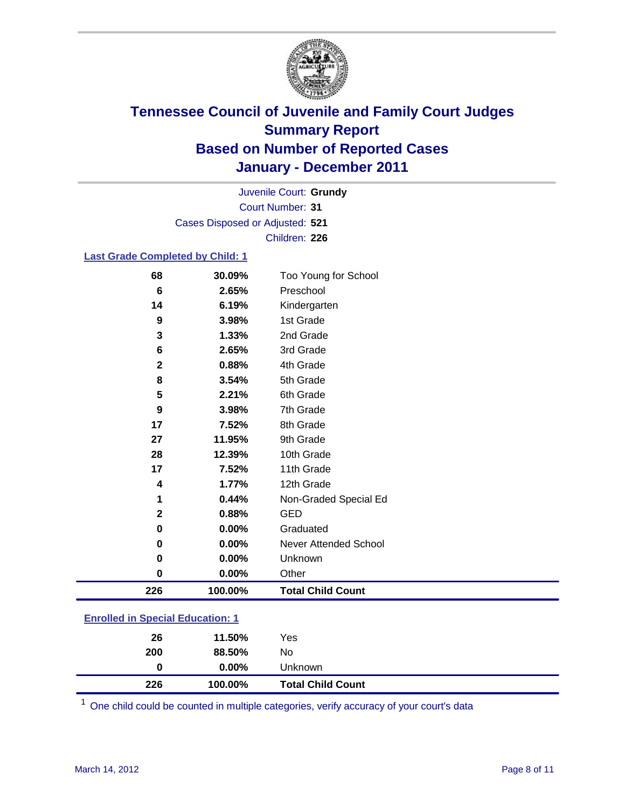

Court Number: **31** Juvenile Court: **Grundy** Cases Disposed or Adjusted: **521** Children: **226**

#### **Last Grade Completed by Child: 1**

| 68                               | 30.09%  | Too Young for School     |
|----------------------------------|---------|--------------------------|
| $6\phantom{1}$                   | 2.65%   | Preschool                |
| 14                               | 6.19%   | Kindergarten             |
| $\boldsymbol{9}$                 | 3.98%   | 1st Grade                |
| 3                                | 1.33%   | 2nd Grade                |
| 6                                | 2.65%   | 3rd Grade                |
| 2                                | 0.88%   | 4th Grade                |
| 8                                | 3.54%   | 5th Grade                |
| 5                                | 2.21%   | 6th Grade                |
| 9                                | 3.98%   | 7th Grade                |
| 17                               | 7.52%   | 8th Grade                |
| 27                               | 11.95%  | 9th Grade                |
| 28                               | 12.39%  | 10th Grade               |
| 17                               | 7.52%   | 11th Grade               |
| 4                                | 1.77%   | 12th Grade               |
| 1                                | 0.44%   | Non-Graded Special Ed    |
| $\mathbf{2}$                     | 0.88%   | <b>GED</b>               |
| $\mathbf 0$                      | 0.00%   | Graduated                |
| 0                                | 0.00%   | Never Attended School    |
| 0                                | 0.00%   | Unknown                  |
| $\mathbf 0$                      | 0.00%   | Other                    |
| 226                              | 100.00% | <b>Total Child Count</b> |
| Enrolled in Cneoial Education: 1 |         |                          |

#### **Enrolled in Special Education: 1**

| 226 | 100.00%  | <b>Total Child Count</b> |
|-----|----------|--------------------------|
| 0   | $0.00\%$ | <b>Unknown</b>           |
| 200 | 88.50%   | No                       |
| 26  | 11.50%   | Yes                      |
|     |          |                          |

One child could be counted in multiple categories, verify accuracy of your court's data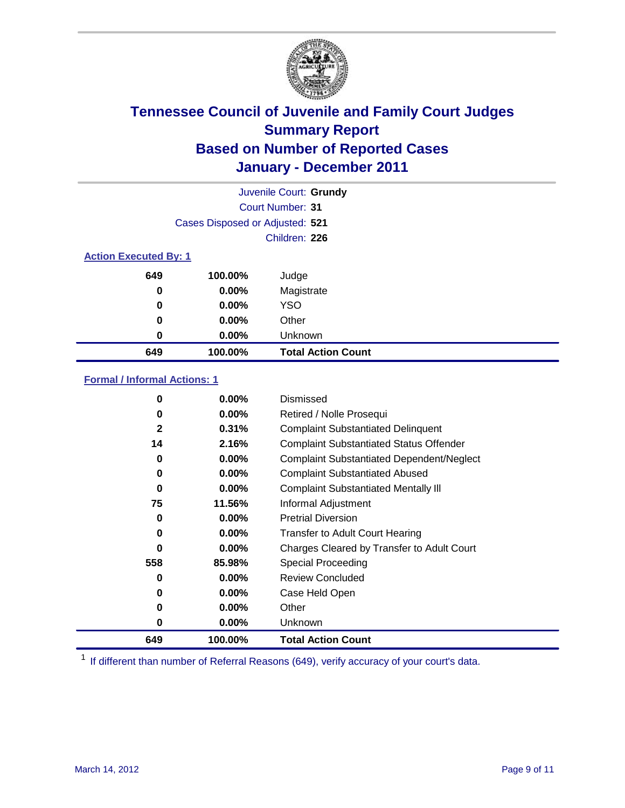

|     | Juvenile Court: Grundy          |                           |  |  |  |
|-----|---------------------------------|---------------------------|--|--|--|
|     |                                 | Court Number: 31          |  |  |  |
|     | Cases Disposed or Adjusted: 521 |                           |  |  |  |
|     |                                 | Children: 226             |  |  |  |
|     | <b>Action Executed By: 1</b>    |                           |  |  |  |
| 649 | 100.00%                         | Judge                     |  |  |  |
| 0   | $0.00\%$                        | Magistrate                |  |  |  |
| 0   | $0.00\%$                        | <b>YSO</b>                |  |  |  |
| 0   | 0.00%                           | Other                     |  |  |  |
| 0   | 0.00%                           | Unknown                   |  |  |  |
| 649 | 100.00%                         | <b>Total Action Count</b> |  |  |  |

### **Formal / Informal Actions: 1**

| 0            | $0.00\%$ | Dismissed                                        |
|--------------|----------|--------------------------------------------------|
| 0            | $0.00\%$ | Retired / Nolle Prosequi                         |
| $\mathbf{2}$ | 0.31%    | <b>Complaint Substantiated Delinquent</b>        |
| 14           | 2.16%    | <b>Complaint Substantiated Status Offender</b>   |
| 0            | $0.00\%$ | <b>Complaint Substantiated Dependent/Neglect</b> |
| 0            | $0.00\%$ | <b>Complaint Substantiated Abused</b>            |
| 0            | $0.00\%$ | <b>Complaint Substantiated Mentally III</b>      |
| 75           | 11.56%   | Informal Adjustment                              |
| 0            | $0.00\%$ | <b>Pretrial Diversion</b>                        |
| 0            | $0.00\%$ | <b>Transfer to Adult Court Hearing</b>           |
| 0            | $0.00\%$ | Charges Cleared by Transfer to Adult Court       |
| 558          | 85.98%   | <b>Special Proceeding</b>                        |
| 0            | $0.00\%$ | <b>Review Concluded</b>                          |
| 0            | $0.00\%$ | Case Held Open                                   |
| 0            | $0.00\%$ | Other                                            |
| 0            | $0.00\%$ | <b>Unknown</b>                                   |
| 649          | 100.00%  | <b>Total Action Count</b>                        |

<sup>1</sup> If different than number of Referral Reasons (649), verify accuracy of your court's data.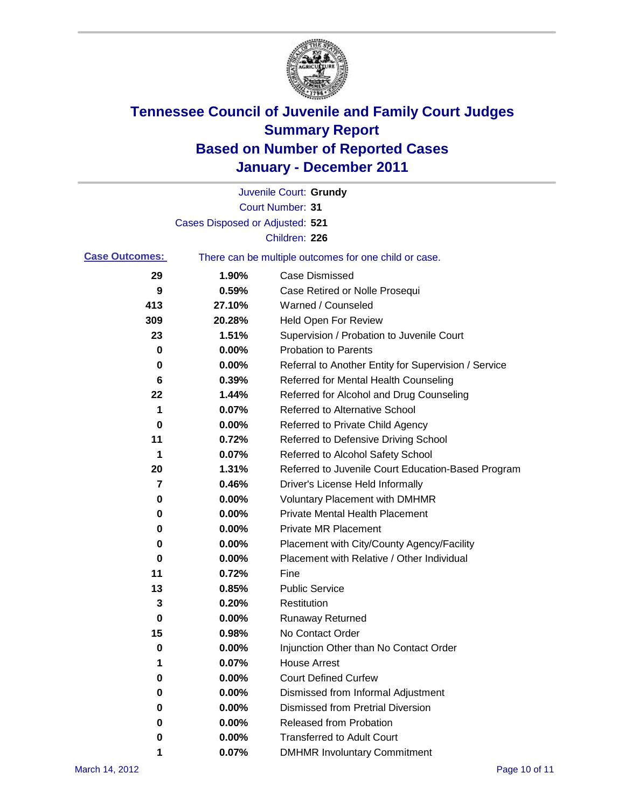

|                       |                                 | Juvenile Court: Grundy                                |
|-----------------------|---------------------------------|-------------------------------------------------------|
|                       |                                 | <b>Court Number: 31</b>                               |
|                       | Cases Disposed or Adjusted: 521 |                                                       |
|                       |                                 | Children: 226                                         |
| <b>Case Outcomes:</b> |                                 | There can be multiple outcomes for one child or case. |
| 29                    | 1.90%                           | <b>Case Dismissed</b>                                 |
| 9                     | 0.59%                           | Case Retired or Nolle Prosequi                        |
| 413                   | 27.10%                          | Warned / Counseled                                    |
| 309                   | 20.28%                          | Held Open For Review                                  |
| 23                    | 1.51%                           | Supervision / Probation to Juvenile Court             |
| 0                     | 0.00%                           | <b>Probation to Parents</b>                           |
| 0                     | 0.00%                           | Referral to Another Entity for Supervision / Service  |
| 6                     | 0.39%                           | Referred for Mental Health Counseling                 |
| 22                    | 1.44%                           | Referred for Alcohol and Drug Counseling              |
| 1                     | 0.07%                           | Referred to Alternative School                        |
| 0                     | 0.00%                           | Referred to Private Child Agency                      |
| 11                    | 0.72%                           | Referred to Defensive Driving School                  |
| 1                     | 0.07%                           | Referred to Alcohol Safety School                     |
| 20                    | 1.31%                           | Referred to Juvenile Court Education-Based Program    |
| 7                     | 0.46%                           | Driver's License Held Informally                      |
| 0                     | 0.00%                           | <b>Voluntary Placement with DMHMR</b>                 |
| 0                     | 0.00%                           | <b>Private Mental Health Placement</b>                |
| 0                     | 0.00%                           | <b>Private MR Placement</b>                           |
| 0                     | 0.00%                           | Placement with City/County Agency/Facility            |
| 0                     | 0.00%                           | Placement with Relative / Other Individual            |
| 11                    | 0.72%                           | Fine                                                  |
| 13                    | 0.85%                           | <b>Public Service</b>                                 |
| 3                     | 0.20%                           | Restitution                                           |
| 0                     | 0.00%                           | Runaway Returned                                      |
| 15                    | 0.98%                           | No Contact Order                                      |
| 0                     | 0.00%                           | Injunction Other than No Contact Order                |
| 1                     | 0.07%                           | <b>House Arrest</b>                                   |
| 0                     | 0.00%                           | <b>Court Defined Curfew</b>                           |
| 0                     | 0.00%                           | Dismissed from Informal Adjustment                    |
| 0                     | 0.00%                           | <b>Dismissed from Pretrial Diversion</b>              |
| 0                     | 0.00%                           | Released from Probation                               |
| 0                     | 0.00%                           | <b>Transferred to Adult Court</b>                     |
|                       | 0.07%                           | <b>DMHMR Involuntary Commitment</b>                   |